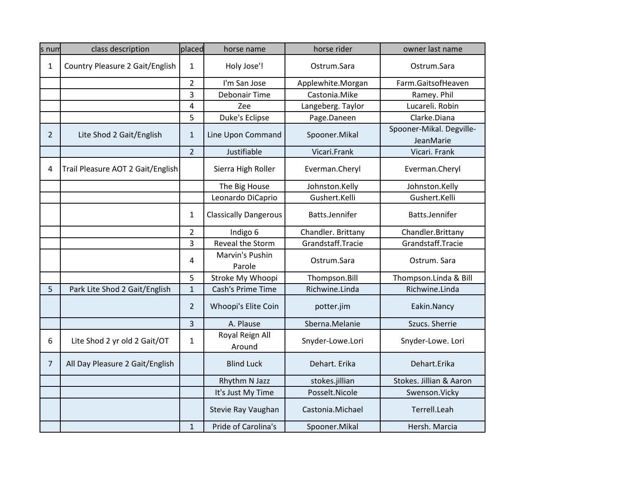| s num          | class description                 | placed         | horse name                   | horse rider        | owner last name                       |
|----------------|-----------------------------------|----------------|------------------------------|--------------------|---------------------------------------|
| 1              | Country Pleasure 2 Gait/English   | 1              | Holy Jose'!                  | Ostrum.Sara        | Ostrum.Sara                           |
|                |                                   | $\overline{2}$ | I'm San Jose                 | Applewhite.Morgan  | Farm.GaitsofHeaven                    |
|                |                                   | 3              | Debonair Time                | Castonia.Mike      | Ramey. Phil                           |
|                |                                   | 4              | Zee                          | Langeberg. Taylor  | Lucareli. Robin                       |
|                |                                   | 5              | Duke's Eclipse               | Page.Daneen        | Clarke.Diana                          |
| $\overline{2}$ | Lite Shod 2 Gait/English          | $\mathbf{1}$   | Line Upon Command            | Spooner.Mikal      | Spooner-Mikal. Degville-<br>JeanMarie |
|                |                                   | $\overline{2}$ | Justifiable                  | Vicari.Frank       | Vicari. Frank                         |
| 4              | Trail Pleasure AOT 2 Gait/English |                | Sierra High Roller           | Everman.Cheryl     | Everman.Cheryl                        |
|                |                                   |                | The Big House                | Johnston.Kelly     | Johnston.Kelly                        |
|                |                                   |                | Leonardo DiCaprio            | Gushert.Kelli      | Gushert.Kelli                         |
|                |                                   | 1              | <b>Classically Dangerous</b> | Batts.Jennifer     | Batts.Jennifer                        |
|                |                                   | $\overline{2}$ | Indigo 6                     | Chandler. Brittany | Chandler.Brittany                     |
|                |                                   | 3              | Reveal the Storm             | Grandstaff.Tracie  | Grandstaff.Tracie                     |
|                |                                   | 4              | Marvin's Pushin<br>Parole    | Ostrum.Sara        | Ostrum. Sara                          |
|                |                                   | 5              | Stroke My Whoopi             | Thompson.Bill      | Thompson.Linda & Bill                 |
| 5              | Park Lite Shod 2 Gait/English     | $\mathbf{1}$   | Cash's Prime Time            | Richwine.Linda     | Richwine.Linda                        |
|                |                                   | $\overline{2}$ | Whoopi's Elite Coin          | potter.jim         | Eakin.Nancy                           |
|                |                                   | 3              | A. Plause                    | Sberna.Melanie     | Szucs. Sherrie                        |
| 6              | Lite Shod 2 yr old 2 Gait/OT      | 1              | Royal Reign All<br>Around    | Snyder-Lowe.Lori   | Snyder-Lowe. Lori                     |
| $\overline{7}$ | All Day Pleasure 2 Gait/English   |                | <b>Blind Luck</b>            | Dehart. Erika      | Dehart.Erika                          |
|                |                                   |                | Rhythm N Jazz                | stokes.jillian     | Stokes. Jillian & Aaron               |
|                |                                   |                | It's Just My Time            | Posselt.Nicole     | Swenson.Vicky                         |
|                |                                   |                | Stevie Ray Vaughan           | Castonia.Michael   | Terrell.Leah                          |
|                |                                   | $\mathbf{1}$   | Pride of Carolina's          | Spooner.Mikal      | Hersh. Marcia                         |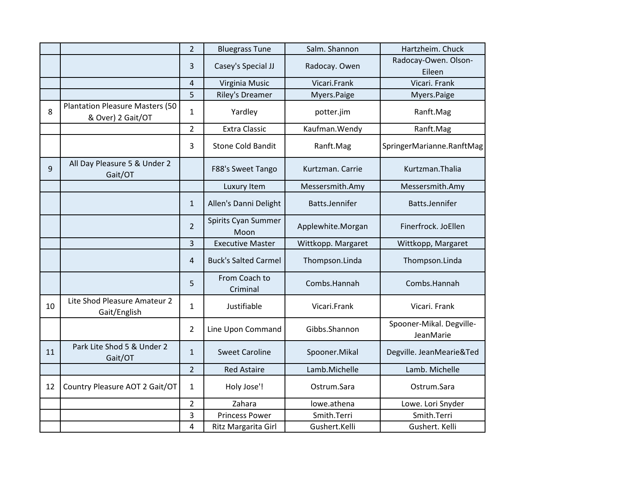|    |                                                             | $\overline{2}$ | <b>Bluegrass Tune</b>       | Salm. Shannon      | Hartzheim. Chuck                      |
|----|-------------------------------------------------------------|----------------|-----------------------------|--------------------|---------------------------------------|
|    |                                                             | 3              | Casey's Special JJ          | Radocay. Owen      | Radocay-Owen. Olson-<br>Eileen        |
|    |                                                             | 4              | Virginia Music              | Vicari.Frank       | Vicari. Frank                         |
|    |                                                             | 5              | <b>Riley's Dreamer</b>      | Myers.Paige        | Myers.Paige                           |
| 8  | <b>Plantation Pleasure Masters (50</b><br>& Over) 2 Gait/OT | $\mathbf{1}$   | Yardley                     | potter.jim         | Ranft.Mag                             |
|    |                                                             | $\overline{2}$ | <b>Extra Classic</b>        | Kaufman. Wendy     | Ranft.Mag                             |
|    |                                                             | 3              | <b>Stone Cold Bandit</b>    | Ranft.Mag          | SpringerMarianne.RanftMag             |
| 9  | All Day Pleasure 5 & Under 2<br>Gait/OT                     |                | F88's Sweet Tango           | Kurtzman, Carrie   | Kurtzman. Thalia                      |
|    |                                                             |                | Luxury Item                 | Messersmith.Amy    | Messersmith.Amy                       |
|    |                                                             | $\mathbf{1}$   | Allen's Danni Delight       | Batts.Jennifer     | Batts.Jennifer                        |
|    |                                                             | $\overline{2}$ | Spirits Cyan Summer<br>Moon | Applewhite.Morgan  | Finerfrock. JoEllen                   |
|    |                                                             | $\overline{3}$ | <b>Executive Master</b>     | Wittkopp. Margaret | Wittkopp, Margaret                    |
|    |                                                             | 4              | <b>Buck's Salted Carmel</b> | Thompson.Linda     | Thompson.Linda                        |
|    |                                                             | 5              | From Coach to<br>Criminal   | Combs.Hannah       | Combs.Hannah                          |
| 10 | Lite Shod Pleasure Amateur 2<br>Gait/English                | $\mathbf{1}$   | Justifiable                 | Vicari.Frank       | Vicari. Frank                         |
|    |                                                             | $\overline{2}$ | Line Upon Command           | Gibbs.Shannon      | Spooner-Mikal. Degville-<br>JeanMarie |
| 11 | Park Lite Shod 5 & Under 2<br>Gait/OT                       | $\mathbf{1}$   | <b>Sweet Caroline</b>       | Spooner.Mikal      | Degville. JeanMearie&Ted              |
|    |                                                             | $\overline{2}$ | <b>Red Astaire</b>          | Lamb.Michelle      | Lamb. Michelle                        |
| 12 | Country Pleasure AOT 2 Gait/OT                              | $\mathbf{1}$   | Holy Jose'!                 | Ostrum.Sara        | Ostrum.Sara                           |
|    |                                                             | $\overline{2}$ | Zahara                      | lowe.athena        | Lowe. Lori Snyder                     |
|    |                                                             | 3              | <b>Princess Power</b>       | Smith.Terri        | Smith.Terri                           |
|    |                                                             | 4              | Ritz Margarita Girl         | Gushert.Kelli      | Gushert. Kelli                        |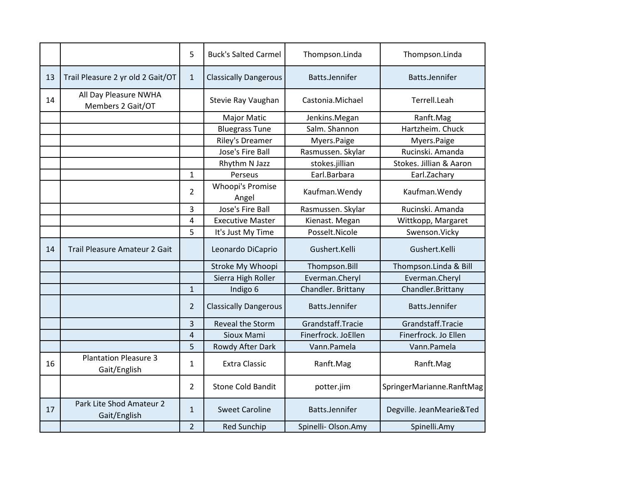|    |                                              | 5              | <b>Buck's Salted Carmel</b>  | Thompson.Linda      | Thompson.Linda            |
|----|----------------------------------------------|----------------|------------------------------|---------------------|---------------------------|
| 13 | Trail Pleasure 2 yr old 2 Gait/OT            | $\mathbf{1}$   | <b>Classically Dangerous</b> | Batts.Jennifer      | Batts.Jennifer            |
| 14 | All Day Pleasure NWHA<br>Members 2 Gait/OT   |                | Stevie Ray Vaughan           | Castonia.Michael    | Terrell.Leah              |
|    |                                              |                | <b>Major Matic</b>           | Jenkins.Megan       | Ranft.Mag                 |
|    |                                              |                | <b>Bluegrass Tune</b>        | Salm. Shannon       | Hartzheim. Chuck          |
|    |                                              |                | <b>Riley's Dreamer</b>       | Myers.Paige         | Myers.Paige               |
|    |                                              |                | Jose's Fire Ball             | Rasmussen. Skylar   | Rucinski. Amanda          |
|    |                                              |                | Rhythm N Jazz                | stokes.jillian      | Stokes. Jillian & Aaron   |
|    |                                              | $\mathbf{1}$   | Perseus                      | Earl.Barbara        | Earl.Zachary              |
|    |                                              | $\overline{2}$ | Whoopi's Promise<br>Angel    | Kaufman. Wendy      | Kaufman. Wendy            |
|    |                                              | 3              | Jose's Fire Ball             | Rasmussen. Skylar   | Rucinski. Amanda          |
|    |                                              | 4              | <b>Executive Master</b>      | Kienast. Megan      | Wittkopp, Margaret        |
|    |                                              | 5              | It's Just My Time            | Posselt.Nicole      | Swenson.Vicky             |
| 14 | Trail Pleasure Amateur 2 Gait                |                | Leonardo DiCaprio            | Gushert.Kelli       | Gushert.Kelli             |
|    |                                              |                | Stroke My Whoopi             | Thompson.Bill       | Thompson.Linda & Bill     |
|    |                                              |                | Sierra High Roller           | Everman.Cheryl      | Everman.Cheryl            |
|    |                                              | $\mathbf{1}$   | Indigo 6                     | Chandler. Brittany  | Chandler.Brittany         |
|    |                                              | $\overline{2}$ | <b>Classically Dangerous</b> | Batts.Jennifer      | Batts.Jennifer            |
|    |                                              | 3              | <b>Reveal the Storm</b>      | Grandstaff.Tracie   | Grandstaff.Tracie         |
|    |                                              | $\overline{4}$ | Sioux Mami                   | Finerfrock. JoEllen | Finerfrock. Jo Ellen      |
|    |                                              | 5              | Rowdy After Dark             | Vann.Pamela         | Vann.Pamela               |
| 16 | <b>Plantation Pleasure 3</b><br>Gait/English | 1              | <b>Extra Classic</b>         | Ranft.Mag           | Ranft.Mag                 |
|    |                                              | $\overline{2}$ | <b>Stone Cold Bandit</b>     | potter.jim          | SpringerMarianne.RanftMag |
| 17 | Park Lite Shod Amateur 2<br>Gait/English     | $\mathbf{1}$   | <b>Sweet Caroline</b>        | Batts.Jennifer      | Degville. JeanMearie&Ted  |
|    |                                              | $\overline{2}$ | <b>Red Sunchip</b>           | Spinelli-Olson.Amy  | Spinelli.Amy              |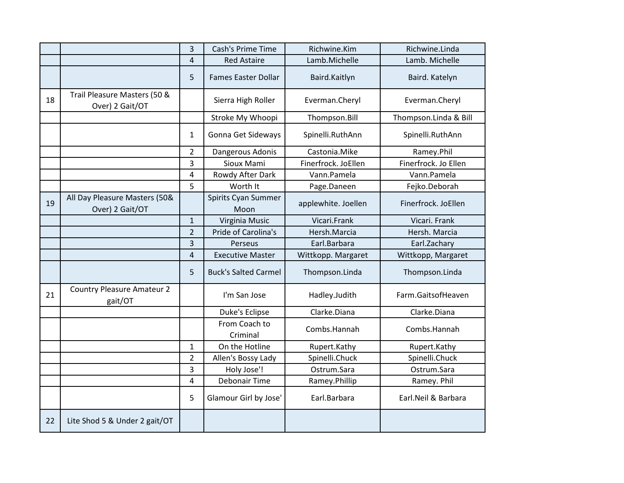|    |                                                  | 3              | Cash's Prime Time           | Richwine.Kim        | Richwine.Linda        |
|----|--------------------------------------------------|----------------|-----------------------------|---------------------|-----------------------|
|    |                                                  | 4              | <b>Red Astaire</b>          | Lamb.Michelle       | Lamb. Michelle        |
|    |                                                  | 5              | <b>Fames Easter Dollar</b>  | Baird.Kaitlyn       | Baird. Katelyn        |
| 18 | Trail Pleasure Masters (50 &<br>Over) 2 Gait/OT  |                | Sierra High Roller          | Everman.Cheryl      | Everman.Cheryl        |
|    |                                                  |                | Stroke My Whoopi            | Thompson.Bill       | Thompson.Linda & Bill |
|    |                                                  | 1              | Gonna Get Sideways          | Spinelli.RuthAnn    | Spinelli.RuthAnn      |
|    |                                                  | $\overline{2}$ | Dangerous Adonis            | Castonia.Mike       | Ramey.Phil            |
|    |                                                  | 3              | Sioux Mami                  | Finerfrock. JoEllen | Finerfrock. Jo Ellen  |
|    |                                                  | 4              | Rowdy After Dark            | Vann.Pamela         | Vann.Pamela           |
|    |                                                  | 5              | Worth It                    | Page.Daneen         | Fejko.Deborah         |
| 19 | All Day Pleasure Masters (50&<br>Over) 2 Gait/OT |                | Spirits Cyan Summer<br>Moon | applewhite. Joellen | Finerfrock. JoEllen   |
|    |                                                  | 1              | Virginia Music              | Vicari.Frank        | Vicari. Frank         |
|    |                                                  | $\overline{2}$ | Pride of Carolina's         | Hersh.Marcia        | Hersh. Marcia         |
|    |                                                  | 3              | Perseus                     | Earl.Barbara        | Earl.Zachary          |
|    |                                                  | 4              | <b>Executive Master</b>     | Wittkopp. Margaret  | Wittkopp, Margaret    |
|    |                                                  | 5              | <b>Buck's Salted Carmel</b> | Thompson.Linda      | Thompson.Linda        |
| 21 | <b>Country Pleasure Amateur 2</b><br>gait/OT     |                | I'm San Jose                | Hadley.Judith       | Farm.GaitsofHeaven    |
|    |                                                  |                | Duke's Eclipse              | Clarke.Diana        | Clarke.Diana          |
|    |                                                  |                | From Coach to<br>Criminal   | Combs.Hannah        | Combs.Hannah          |
|    |                                                  | $\mathbf{1}$   | On the Hotline              | Rupert.Kathy        | Rupert.Kathy          |
|    |                                                  | $\overline{2}$ | Allen's Bossy Lady          | Spinelli.Chuck      | Spinelli.Chuck        |
|    |                                                  | 3              | Holy Jose'!                 | Ostrum.Sara         | Ostrum.Sara           |
|    |                                                  | 4              | <b>Debonair Time</b>        | Ramey.Phillip       | Ramey. Phil           |
|    |                                                  | 5              | Glamour Girl by Jose'       | Earl.Barbara        | Earl.Neil & Barbara   |
| 22 | Lite Shod 5 & Under 2 gait/OT                    |                |                             |                     |                       |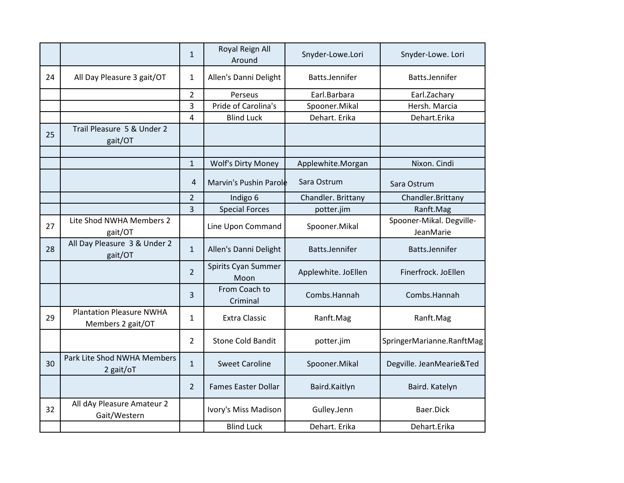|    |                                                      | $\mathbf{1}$   | Royal Reign All<br>Around   | Snyder-Lowe.Lori    | Snyder-Lowe. Lori                     |
|----|------------------------------------------------------|----------------|-----------------------------|---------------------|---------------------------------------|
| 24 | All Day Pleasure 3 gait/OT                           | $\mathbf{1}$   | Allen's Danni Delight       | Batts.Jennifer      | Batts.Jennifer                        |
|    |                                                      | $\overline{2}$ | Perseus                     | Earl.Barbara        | Earl.Zachary                          |
|    |                                                      | 3              | Pride of Carolina's         | Spooner.Mikal       | Hersh. Marcia                         |
|    |                                                      | 4              | <b>Blind Luck</b>           | Dehart. Erika       | Dehart.Erika                          |
| 25 | Trail Pleasure 5 & Under 2<br>gait/OT                |                |                             |                     |                                       |
|    |                                                      | $\mathbf{1}$   | <b>Wolf's Dirty Money</b>   | Applewhite.Morgan   | Nixon. Cindi                          |
|    |                                                      | 4              | Marvin's Pushin Parole      | Sara Ostrum         | Sara Ostrum                           |
|    |                                                      | $\overline{2}$ | Indigo 6                    | Chandler. Brittany  | Chandler.Brittany                     |
|    |                                                      | $\overline{3}$ | <b>Special Forces</b>       | potter.jim          | Ranft.Mag                             |
| 27 | Lite Shod NWHA Members 2<br>gait/OT                  |                | Line Upon Command           | Spooner.Mikal       | Spooner-Mikal. Degville-<br>JeanMarie |
| 28 | All Day Pleasure 3 & Under 2<br>gait/OT              | $\mathbf{1}$   | Allen's Danni Delight       | Batts.Jennifer      | Batts.Jennifer                        |
|    |                                                      | $\overline{2}$ | Spirits Cyan Summer<br>Moon | Applewhite. JoEllen | Finerfrock. JoEllen                   |
|    |                                                      | 3              | From Coach to<br>Criminal   | Combs.Hannah        | Combs.Hannah                          |
| 29 | <b>Plantation Pleasure NWHA</b><br>Members 2 gait/OT | $\mathbf{1}$   | <b>Extra Classic</b>        | Ranft.Mag           | Ranft.Mag                             |
|    |                                                      | $\overline{2}$ | <b>Stone Cold Bandit</b>    | potter.jim          | SpringerMarianne.RanftMag             |
| 30 | Park Lite Shod NWHA Members<br>2 gait/oT             | $\mathbf{1}$   | <b>Sweet Caroline</b>       | Spooner.Mikal       | Degville. JeanMearie&Ted              |
|    |                                                      | $\overline{2}$ | <b>Fames Easter Dollar</b>  | Baird.Kaitlyn       | Baird. Katelyn                        |
| 32 | All dAy Pleasure Amateur 2<br>Gait/Western           |                | Ivory's Miss Madison        | Gulley.Jenn         | Baer.Dick                             |
|    |                                                      |                | <b>Blind Luck</b>           | Dehart. Erika       | Dehart.Erika                          |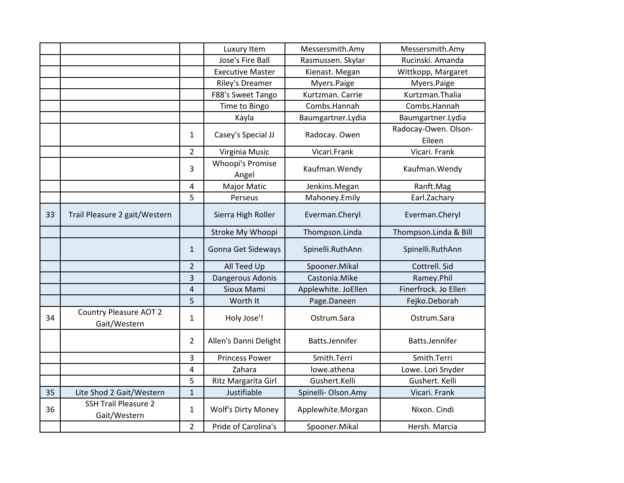|    |                                               |                | Luxury Item               | Messersmith.Amy     | Messersmith.Amy                |
|----|-----------------------------------------------|----------------|---------------------------|---------------------|--------------------------------|
|    |                                               |                | Jose's Fire Ball          | Rasmussen. Skylar   | Rucinski. Amanda               |
|    |                                               |                | <b>Executive Master</b>   | Kienast. Megan      | Wittkopp, Margaret             |
|    |                                               |                | Riley's Dreamer           | Myers.Paige         | Myers.Paige                    |
|    |                                               |                | F88's Sweet Tango         | Kurtzman. Carrie    | Kurtzman.Thalia                |
|    |                                               |                | Time to Bingo             | Combs.Hannah        | Combs.Hannah                   |
|    |                                               |                | Kayla                     | Baumgartner.Lydia   | Baumgartner.Lydia              |
|    |                                               | $\mathbf{1}$   | Casey's Special JJ        | Radocay. Owen       | Radocay-Owen. Olson-<br>Eileen |
|    |                                               | $\overline{2}$ | Virginia Music            | Vicari.Frank        | Vicari. Frank                  |
|    |                                               | 3              | Whoopi's Promise<br>Angel | Kaufman. Wendy      | Kaufman. Wendy                 |
|    |                                               | 4              | <b>Major Matic</b>        | Jenkins.Megan       | Ranft.Mag                      |
|    |                                               | 5              | Perseus                   | Mahoney.Emily       | Earl.Zachary                   |
| 33 | Trail Pleasure 2 gait/Western                 |                | Sierra High Roller        | Everman.Cheryl      | Everman.Cheryl                 |
|    |                                               |                | Stroke My Whoopi          | Thompson.Linda      | Thompson.Linda & Bill          |
|    |                                               | $\mathbf{1}$   | Gonna Get Sideways        | Spinelli.RuthAnn    | Spinelli.RuthAnn               |
|    |                                               | $\overline{2}$ | All Teed Up               | Spooner.Mikal       | Cottrell. Sid                  |
|    |                                               | 3              | Dangerous Adonis          | Castonia.Mike       | Ramey.Phil                     |
|    |                                               | 4              | Sioux Mami                | Applewhite. JoEllen | Finerfrock. Jo Ellen           |
|    |                                               | 5              | Worth It                  | Page.Daneen         | Fejko.Deborah                  |
| 34 | <b>Country Pleasure AOT 2</b><br>Gait/Western | 1              | Holy Jose'!               | Ostrum.Sara         | Ostrum.Sara                    |
|    |                                               | $\overline{2}$ | Allen's Danni Delight     | Batts.Jennifer      | Batts.Jennifer                 |
|    |                                               | 3              | <b>Princess Power</b>     | Smith.Terri         | Smith.Terri                    |
|    |                                               | 4              | Zahara                    | lowe.athena         | Lowe. Lori Snyder              |
|    |                                               | 5              | Ritz Margarita Girl       | Gushert.Kelli       | Gushert. Kelli                 |
| 35 | Lite Shod 2 Gait/Western                      | $\mathbf{1}$   | Justifiable               | Spinelli-Olson.Amy  | Vicari. Frank                  |
| 36 | <b>SSH Trail Pleasure 2</b><br>Gait/Western   | 1              | <b>Wolf's Dirty Money</b> | Applewhite.Morgan   | Nixon. Cindi                   |
|    |                                               | $\overline{2}$ | Pride of Carolina's       | Spooner.Mikal       | Hersh. Marcia                  |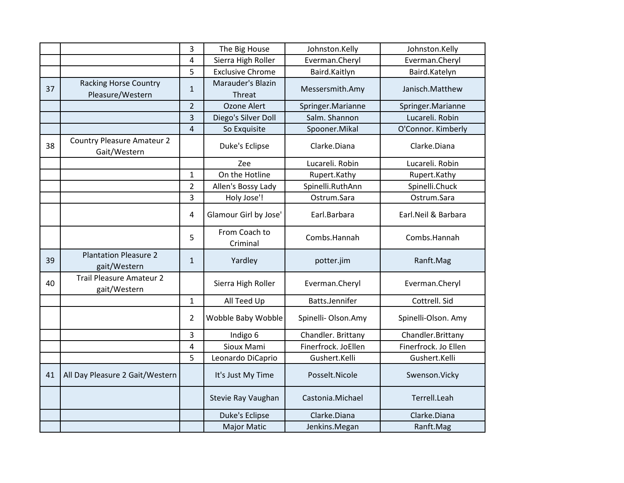|    |                                                   | 3                       | The Big House               | Johnston.Kelly      | Johnston.Kelly       |
|----|---------------------------------------------------|-------------------------|-----------------------------|---------------------|----------------------|
|    |                                                   | $\overline{\mathbf{4}}$ | Sierra High Roller          | Everman.Cheryl      | Everman.Cheryl       |
|    |                                                   | 5                       | <b>Exclusive Chrome</b>     | Baird.Kaitlyn       | Baird.Katelyn        |
| 37 | <b>Racking Horse Country</b><br>Pleasure/Western  | $\mathbf{1}$            | Marauder's Blazin<br>Threat | Messersmith.Amy     | Janisch.Matthew      |
|    |                                                   | $\overline{2}$          | Ozone Alert                 | Springer.Marianne   | Springer.Marianne    |
|    |                                                   | 3                       | Diego's Silver Doll         | Salm. Shannon       | Lucareli. Robin      |
|    |                                                   | $\overline{4}$          | So Exquisite                | Spooner.Mikal       | O'Connor. Kimberly   |
| 38 | <b>Country Pleasure Amateur 2</b><br>Gait/Western |                         | Duke's Eclipse              | Clarke.Diana        | Clarke.Diana         |
|    |                                                   |                         | Zee                         | Lucareli. Robin     | Lucareli. Robin      |
|    |                                                   | $\mathbf{1}$            | On the Hotline              | Rupert.Kathy        | Rupert.Kathy         |
|    |                                                   | $\overline{2}$          | Allen's Bossy Lady          | Spinelli.RuthAnn    | Spinelli.Chuck       |
|    |                                                   | 3                       | Holy Jose'!                 | Ostrum.Sara         | Ostrum.Sara          |
|    |                                                   | 4                       | Glamour Girl by Jose'       | Earl.Barbara        | Earl.Neil & Barbara  |
|    |                                                   | 5                       | From Coach to<br>Criminal   | Combs.Hannah        | Combs.Hannah         |
| 39 | <b>Plantation Pleasure 2</b><br>gait/Western      | $\mathbf{1}$            | Yardley                     | potter.jim          | Ranft.Mag            |
| 40 | <b>Trail Pleasure Amateur 2</b><br>gait/Western   |                         | Sierra High Roller          | Everman.Cheryl      | Everman.Cheryl       |
|    |                                                   | $\mathbf{1}$            | All Teed Up                 | Batts.Jennifer      | Cottrell. Sid        |
|    |                                                   | $\overline{2}$          | Wobble Baby Wobble          | Spinelli-Olson.Amy  | Spinelli-Olson. Amy  |
|    |                                                   | 3                       | Indigo 6                    | Chandler. Brittany  | Chandler.Brittany    |
|    |                                                   | 4                       | Sioux Mami                  | Finerfrock. JoEllen | Finerfrock. Jo Ellen |
|    |                                                   | 5                       | Leonardo DiCaprio           | Gushert.Kelli       | Gushert.Kelli        |
| 41 | All Day Pleasure 2 Gait/Western                   |                         | It's Just My Time           | Posselt.Nicole      | Swenson.Vicky        |
|    |                                                   |                         | Stevie Ray Vaughan          | Castonia.Michael    | Terrell.Leah         |
|    |                                                   |                         | Duke's Eclipse              | Clarke.Diana        | Clarke.Diana         |
|    |                                                   |                         | <b>Major Matic</b>          | Jenkins.Megan       | Ranft.Mag            |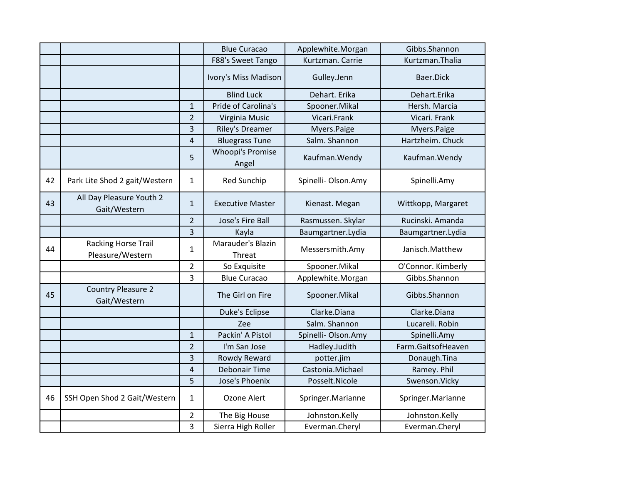|    |                                                |                | <b>Blue Curacao</b>              | Applewhite.Morgan   | Gibbs.Shannon      |
|----|------------------------------------------------|----------------|----------------------------------|---------------------|--------------------|
|    |                                                |                | F88's Sweet Tango                | Kurtzman. Carrie    | Kurtzman.Thalia    |
|    |                                                |                | Ivory's Miss Madison             | Gulley.Jenn         | Baer.Dick          |
|    |                                                |                | <b>Blind Luck</b>                | Dehart. Erika       | Dehart.Erika       |
|    |                                                | $\mathbf{1}$   | Pride of Carolina's              | Spooner.Mikal       | Hersh. Marcia      |
|    |                                                | $\overline{2}$ | Virginia Music                   | Vicari.Frank        | Vicari. Frank      |
|    |                                                | 3              | <b>Riley's Dreamer</b>           | Myers.Paige         | Myers.Paige        |
|    |                                                | 4              | <b>Bluegrass Tune</b>            | Salm. Shannon       | Hartzheim. Chuck   |
|    |                                                | 5              | <b>Whoopi's Promise</b><br>Angel | Kaufman. Wendy      | Kaufman. Wendy     |
| 42 | Park Lite Shod 2 gait/Western                  | $\mathbf{1}$   | <b>Red Sunchip</b>               | Spinelli-Olson.Amy  | Spinelli.Amy       |
| 43 | All Day Pleasure Youth 2<br>Gait/Western       | $\mathbf{1}$   | <b>Executive Master</b>          | Kienast. Megan      | Wittkopp, Margaret |
|    |                                                | $\overline{2}$ | Jose's Fire Ball                 | Rasmussen. Skylar   | Rucinski. Amanda   |
|    |                                                | 3              | Kayla                            | Baumgartner.Lydia   | Baumgartner.Lydia  |
| 44 | <b>Racking Horse Trail</b><br>Pleasure/Western | $\mathbf{1}$   | Marauder's Blazin<br>Threat      | Messersmith.Amy     | Janisch.Matthew    |
|    |                                                | $\overline{2}$ | So Exquisite                     | Spooner.Mikal       | O'Connor. Kimberly |
|    |                                                | 3              | <b>Blue Curacao</b>              | Applewhite.Morgan   | Gibbs.Shannon      |
| 45 | <b>Country Pleasure 2</b><br>Gait/Western      |                | The Girl on Fire                 | Spooner.Mikal       | Gibbs.Shannon      |
|    |                                                |                | Duke's Eclipse                   | Clarke.Diana        | Clarke.Diana       |
|    |                                                |                | Zee                              | Salm. Shannon       | Lucareli. Robin    |
|    |                                                | $\mathbf{1}$   | Packin' A Pistol                 | Spinelli- Olson.Amy | Spinelli.Amy       |
|    |                                                | $\overline{2}$ | I'm San Jose                     | Hadley.Judith       | Farm.GaitsofHeaven |
|    |                                                | 3              | Rowdy Reward                     | potter.jim          | Donaugh.Tina       |
|    |                                                | 4              | <b>Debonair Time</b>             | Castonia.Michael    | Ramey. Phil        |
|    |                                                | 5              | Jose's Phoenix                   | Posselt.Nicole      | Swenson.Vicky      |
| 46 | SSH Open Shod 2 Gait/Western                   | $\mathbf{1}$   | Ozone Alert                      | Springer.Marianne   | Springer.Marianne  |
|    |                                                | $\overline{2}$ | The Big House                    | Johnston.Kelly      | Johnston.Kelly     |
|    |                                                | 3              | Sierra High Roller               | Everman.Cheryl      | Everman.Cheryl     |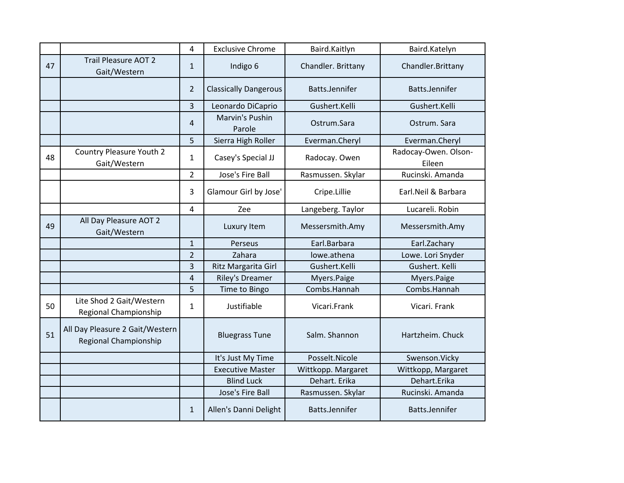|    |                                                          | 4              | <b>Exclusive Chrome</b>      | Baird.Kaitlyn      | Baird.Katelyn                  |
|----|----------------------------------------------------------|----------------|------------------------------|--------------------|--------------------------------|
| 47 | <b>Trail Pleasure AOT 2</b><br>Gait/Western              | $\mathbf{1}$   | Indigo 6                     | Chandler. Brittany | Chandler.Brittany              |
|    |                                                          | $\overline{2}$ | <b>Classically Dangerous</b> | Batts.Jennifer     | Batts.Jennifer                 |
|    |                                                          | 3              | Leonardo DiCaprio            | Gushert.Kelli      | Gushert.Kelli                  |
|    |                                                          | 4              | Marvin's Pushin<br>Parole    | Ostrum.Sara        | Ostrum. Sara                   |
|    |                                                          | 5              | Sierra High Roller           | Everman.Cheryl     | Everman.Cheryl                 |
| 48 | <b>Country Pleasure Youth 2</b><br>Gait/Western          | 1              | Casey's Special JJ           | Radocay. Owen      | Radocay-Owen. Olson-<br>Eileen |
|    |                                                          | $\overline{2}$ | Jose's Fire Ball             | Rasmussen. Skylar  | Rucinski. Amanda               |
|    |                                                          | $\overline{3}$ | Glamour Girl by Jose'        | Cripe.Lillie       | Earl.Neil & Barbara            |
|    |                                                          | 4              | Zee                          | Langeberg. Taylor  | Lucareli. Robin                |
| 49 | All Day Pleasure AOT 2<br>Gait/Western                   |                | Luxury Item                  | Messersmith.Amy    | Messersmith.Amy                |
|    |                                                          | $\mathbf{1}$   | Perseus                      | Earl.Barbara       | Earl.Zachary                   |
|    |                                                          | $\overline{2}$ | Zahara                       | lowe.athena        | Lowe. Lori Snyder              |
|    |                                                          | 3              | Ritz Margarita Girl          | Gushert.Kelli      | Gushert. Kelli                 |
|    |                                                          | $\overline{4}$ | Riley's Dreamer              | Myers.Paige        | Myers.Paige                    |
|    |                                                          | 5              | Time to Bingo                | Combs.Hannah       | Combs.Hannah                   |
| 50 | Lite Shod 2 Gait/Western<br>Regional Championship        | $\mathbf{1}$   | Justifiable                  | Vicari.Frank       | Vicari. Frank                  |
| 51 | All Day Pleasure 2 Gait/Western<br>Regional Championship |                | <b>Bluegrass Tune</b>        | Salm. Shannon      | Hartzheim. Chuck               |
|    |                                                          |                | It's Just My Time            | Posselt.Nicole     | Swenson.Vicky                  |
|    |                                                          |                | <b>Executive Master</b>      | Wittkopp. Margaret | Wittkopp, Margaret             |
|    |                                                          |                | <b>Blind Luck</b>            | Dehart. Erika      | Dehart.Erika                   |
|    |                                                          |                | Jose's Fire Ball             | Rasmussen. Skylar  | Rucinski. Amanda               |
|    |                                                          | $\mathbf{1}$   | Allen's Danni Delight        | Batts.Jennifer     | Batts.Jennifer                 |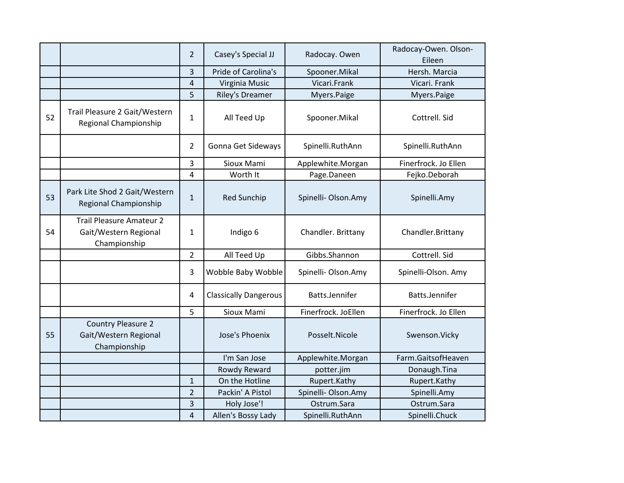|    |                                                                          | $\overline{2}$          | Casey's Special JJ           | Radocay. Owen       | Radocay-Owen. Olson-<br>Eileen |
|----|--------------------------------------------------------------------------|-------------------------|------------------------------|---------------------|--------------------------------|
|    |                                                                          | 3                       | Pride of Carolina's          | Spooner.Mikal       | Hersh. Marcia                  |
|    |                                                                          | $\overline{a}$          | Virginia Music               | Vicari.Frank        | Vicari. Frank                  |
|    |                                                                          | 5                       | <b>Riley's Dreamer</b>       | Myers.Paige         | Myers.Paige                    |
| 52 | Trail Pleasure 2 Gait/Western<br>Regional Championship                   | $\mathbf 1$             | All Teed Up                  | Spooner.Mikal       | Cottrell. Sid                  |
|    |                                                                          | $\overline{2}$          | Gonna Get Sideways           | Spinelli.RuthAnn    | Spinelli.RuthAnn               |
|    |                                                                          | 3                       | Sioux Mami                   | Applewhite.Morgan   | Finerfrock. Jo Ellen           |
|    |                                                                          | $\overline{\mathbf{4}}$ | Worth It                     | Page.Daneen         | Fejko.Deborah                  |
| 53 | Park Lite Shod 2 Gait/Western<br>Regional Championship                   | $\mathbf{1}$            | <b>Red Sunchip</b>           | Spinelli-Olson.Amy  | Spinelli.Amy                   |
| 54 | <b>Trail Pleasure Amateur 2</b><br>Gait/Western Regional<br>Championship | $\mathbf{1}$            | Indigo 6                     | Chandler. Brittany  | Chandler.Brittany              |
|    |                                                                          | $\overline{2}$          | All Teed Up                  | Gibbs.Shannon       | Cottrell. Sid                  |
|    |                                                                          | 3                       | Wobble Baby Wobble           | Spinelli- Olson.Amy | Spinelli-Olson. Amy            |
|    |                                                                          | 4                       | <b>Classically Dangerous</b> | Batts.Jennifer      | Batts.Jennifer                 |
|    |                                                                          | 5                       | Sioux Mami                   | Finerfrock. JoEllen | Finerfrock. Jo Ellen           |
| 55 | <b>Country Pleasure 2</b><br>Gait/Western Regional<br>Championship       |                         | Jose's Phoenix               | Posselt.Nicole      | Swenson.Vicky                  |
|    |                                                                          |                         | I'm San Jose                 | Applewhite.Morgan   | Farm.GaitsofHeaven             |
|    |                                                                          |                         | Rowdy Reward                 | potter.jim          | Donaugh.Tina                   |
|    |                                                                          | $\mathbf{1}$            | On the Hotline               | Rupert.Kathy        | Rupert.Kathy                   |
|    |                                                                          | $\overline{2}$          | Packin' A Pistol             | Spinelli-Olson.Amy  | Spinelli.Amy                   |
|    |                                                                          | 3                       | Holy Jose'!                  | Ostrum.Sara         | Ostrum.Sara                    |
|    |                                                                          | 4                       | Allen's Bossy Lady           | Spinelli.RuthAnn    | Spinelli.Chuck                 |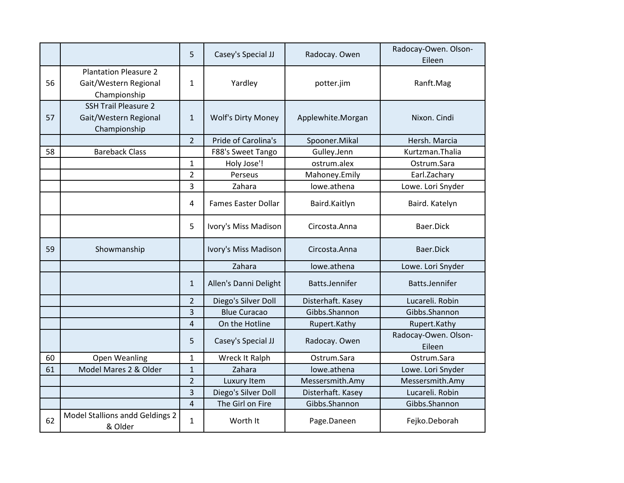|    |                                                                       | 5              | Casey's Special JJ         | Radocay. Owen     | Radocay-Owen. Olson-<br>Eileen |
|----|-----------------------------------------------------------------------|----------------|----------------------------|-------------------|--------------------------------|
| 56 | <b>Plantation Pleasure 2</b><br>Gait/Western Regional<br>Championship | $\mathbf{1}$   | Yardley                    | potter.jim        | Ranft.Mag                      |
| 57 | <b>SSH Trail Pleasure 2</b><br>Gait/Western Regional<br>Championship  | $\mathbf{1}$   | <b>Wolf's Dirty Money</b>  | Applewhite.Morgan | Nixon. Cindi                   |
|    |                                                                       | $\overline{2}$ | Pride of Carolina's        | Spooner.Mikal     | Hersh. Marcia                  |
| 58 | <b>Bareback Class</b>                                                 |                | F88's Sweet Tango          | Gulley.Jenn       | Kurtzman.Thalia                |
|    |                                                                       | $\mathbf{1}$   | Holy Jose'!                | ostrum.alex       | Ostrum.Sara                    |
|    |                                                                       | $\overline{2}$ | Perseus                    | Mahoney.Emily     | Earl.Zachary                   |
|    |                                                                       | 3              | Zahara                     | lowe.athena       | Lowe. Lori Snyder              |
|    |                                                                       | 4              | <b>Fames Easter Dollar</b> | Baird.Kaitlyn     | Baird. Katelyn                 |
|    |                                                                       | 5              | Ivory's Miss Madison       | Circosta.Anna     | Baer.Dick                      |
| 59 | Showmanship                                                           |                | Ivory's Miss Madison       | Circosta.Anna     | Baer.Dick                      |
|    |                                                                       |                | Zahara                     | lowe.athena       | Lowe. Lori Snyder              |
|    |                                                                       | $\mathbf{1}$   | Allen's Danni Delight      | Batts.Jennifer    | Batts.Jennifer                 |
|    |                                                                       | $\overline{2}$ | Diego's Silver Doll        | Disterhaft. Kasey | Lucareli. Robin                |
|    |                                                                       | 3              | <b>Blue Curacao</b>        | Gibbs.Shannon     | Gibbs.Shannon                  |
|    |                                                                       | 4              | On the Hotline             | Rupert.Kathy      | Rupert.Kathy                   |
|    |                                                                       | 5              | Casey's Special JJ         | Radocay. Owen     | Radocay-Owen. Olson-<br>Eileen |
| 60 | Open Weanling                                                         | $\mathbf{1}$   | Wreck It Ralph             | Ostrum.Sara       | Ostrum.Sara                    |
| 61 | Model Mares 2 & Older                                                 | $\mathbf{1}$   | Zahara                     | lowe.athena       | Lowe. Lori Snyder              |
|    |                                                                       | $\overline{2}$ | Luxury Item                | Messersmith.Amy   | Messersmith.Amy                |
|    |                                                                       | 3              | Diego's Silver Doll        | Disterhaft. Kasey | Lucareli. Robin                |
|    |                                                                       | $\overline{4}$ | The Girl on Fire           | Gibbs.Shannon     | Gibbs.Shannon                  |
| 62 | Model Stallions andd Geldings 2<br>& Older                            | $\mathbf{1}$   | Worth It                   | Page.Daneen       | Fejko.Deborah                  |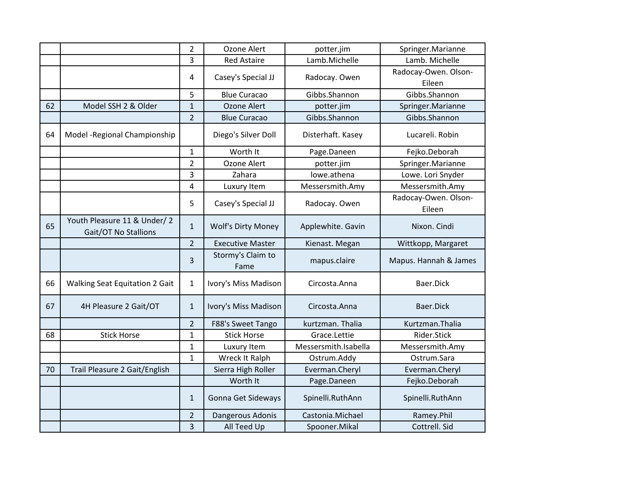|    |                                                     | $\overline{2}$ | Ozone Alert               | potter.jim           | Springer.Marianne              |
|----|-----------------------------------------------------|----------------|---------------------------|----------------------|--------------------------------|
|    |                                                     | 3              | <b>Red Astaire</b>        | Lamb.Michelle        | Lamb. Michelle                 |
|    |                                                     |                |                           |                      | Radocay-Owen. Olson-           |
|    |                                                     | 4              | Casey's Special JJ        | Radocay. Owen        | Eileen                         |
|    |                                                     | 5              | <b>Blue Curacao</b>       | Gibbs.Shannon        | Gibbs.Shannon                  |
| 62 | Model SSH 2 & Older                                 | $\mathbf{1}$   | <b>Ozone Alert</b>        | potter.jim           | Springer.Marianne              |
|    |                                                     | $\overline{2}$ | <b>Blue Curacao</b>       | Gibbs.Shannon        | Gibbs.Shannon                  |
| 64 | Model - Regional Championship                       |                | Diego's Silver Doll       | Disterhaft. Kasey    | Lucareli. Robin                |
|    |                                                     | $\mathbf{1}$   | Worth It                  | Page.Daneen          | Fejko.Deborah                  |
|    |                                                     | $\overline{2}$ | Ozone Alert               | potter.jim           | Springer.Marianne              |
|    |                                                     | 3              | Zahara                    | lowe.athena          | Lowe. Lori Snyder              |
|    |                                                     | 4              | Luxury Item               | Messersmith.Amy      | Messersmith.Amy                |
|    |                                                     | 5              | Casey's Special JJ        | Radocay. Owen        | Radocay-Owen. Olson-<br>Eileen |
| 65 | Youth Pleasure 11 & Under/2<br>Gait/OT No Stallions | $\mathbf{1}$   | <b>Wolf's Dirty Money</b> | Applewhite. Gavin    | Nixon. Cindi                   |
|    |                                                     | $\overline{2}$ | <b>Executive Master</b>   | Kienast. Megan       | Wittkopp, Margaret             |
|    |                                                     | 3              | Stormy's Claim to<br>Fame | mapus.claire         | Mapus. Hannah & James          |
| 66 | <b>Walking Seat Equitation 2 Gait</b>               | $\mathbf{1}$   | Ivory's Miss Madison      | Circosta.Anna        | Baer.Dick                      |
| 67 | 4H Pleasure 2 Gait/OT                               | $\mathbf{1}$   | Ivory's Miss Madison      | Circosta.Anna        | Baer.Dick                      |
|    |                                                     | $\overline{2}$ | F88's Sweet Tango         | kurtzman. Thalia     | Kurtzman.Thalia                |
| 68 | <b>Stick Horse</b>                                  | $\overline{1}$ | <b>Stick Horse</b>        | Grace.Lettie         | Rider.Stick                    |
|    |                                                     | $\mathbf 1$    | Luxury Item               | Messersmith.Isabella | Messersmith.Amy                |
|    |                                                     | $\mathbf{1}$   | Wreck It Ralph            | Ostrum.Addy          | Ostrum.Sara                    |
| 70 | Trail Pleasure 2 Gait/English                       |                | Sierra High Roller        | Everman.Cheryl       | Everman.Cheryl                 |
|    |                                                     |                |                           |                      |                                |
|    |                                                     |                | Worth It                  | Page.Daneen          | Fejko.Deborah                  |
|    |                                                     | $\mathbf{1}$   | Gonna Get Sideways        | Spinelli.RuthAnn     | Spinelli.RuthAnn               |
|    |                                                     | $\overline{2}$ | Dangerous Adonis          | Castonia.Michael     | Ramey.Phil                     |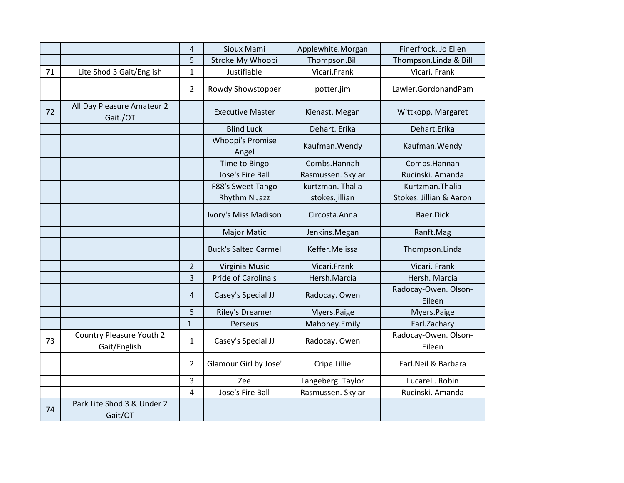|    |                                                 | $\overline{4}$ | Sioux Mami                  | Applewhite.Morgan | Finerfrock. Jo Ellen           |
|----|-------------------------------------------------|----------------|-----------------------------|-------------------|--------------------------------|
|    |                                                 | 5              | Stroke My Whoopi            | Thompson.Bill     | Thompson.Linda & Bill          |
| 71 | Lite Shod 3 Gait/English                        | 1              | Justifiable                 | Vicari.Frank      | Vicari. Frank                  |
|    |                                                 | $\overline{2}$ | Rowdy Showstopper           | potter.jim        | Lawler.GordonandPam            |
| 72 | All Day Pleasure Amateur 2<br>Gait./OT          |                | <b>Executive Master</b>     | Kienast. Megan    | Wittkopp, Margaret             |
|    |                                                 |                | <b>Blind Luck</b>           | Dehart. Erika     | Dehart.Erika                   |
|    |                                                 |                | Whoopi's Promise<br>Angel   | Kaufman. Wendy    | Kaufman. Wendy                 |
|    |                                                 |                | Time to Bingo               | Combs.Hannah      | Combs.Hannah                   |
|    |                                                 |                | Jose's Fire Ball            | Rasmussen. Skylar | Rucinski. Amanda               |
|    |                                                 |                | F88's Sweet Tango           | kurtzman. Thalia  | Kurtzman.Thalia                |
|    |                                                 |                | Rhythm N Jazz               | stokes.jillian    | Stokes. Jillian & Aaron        |
|    |                                                 |                | Ivory's Miss Madison        | Circosta.Anna     | Baer.Dick                      |
|    |                                                 |                | <b>Major Matic</b>          | Jenkins.Megan     | Ranft.Mag                      |
|    |                                                 |                | <b>Buck's Salted Carmel</b> | Keffer.Melissa    | Thompson.Linda                 |
|    |                                                 | $\overline{2}$ | Virginia Music              | Vicari.Frank      | Vicari. Frank                  |
|    |                                                 | 3              | Pride of Carolina's         | Hersh.Marcia      | Hersh. Marcia                  |
|    |                                                 | $\overline{4}$ | Casey's Special JJ          | Radocay. Owen     | Radocay-Owen. Olson-<br>Eileen |
|    |                                                 | 5              | <b>Riley's Dreamer</b>      | Myers.Paige       | Myers.Paige                    |
|    |                                                 | $\mathbf{1}$   | Perseus                     | Mahoney.Emily     | Earl.Zachary                   |
| 73 | <b>Country Pleasure Youth 2</b><br>Gait/English | $\mathbf{1}$   | Casey's Special JJ          | Radocay. Owen     | Radocay-Owen. Olson-<br>Eileen |
|    |                                                 | $\overline{2}$ | Glamour Girl by Jose'       | Cripe.Lillie      | Earl.Neil & Barbara            |
|    |                                                 | 3              | Zee                         | Langeberg. Taylor | Lucareli. Robin                |
|    |                                                 | 4              | Jose's Fire Ball            | Rasmussen. Skylar | Rucinski. Amanda               |
| 74 | Park Lite Shod 3 & Under 2<br>Gait/OT           |                |                             |                   |                                |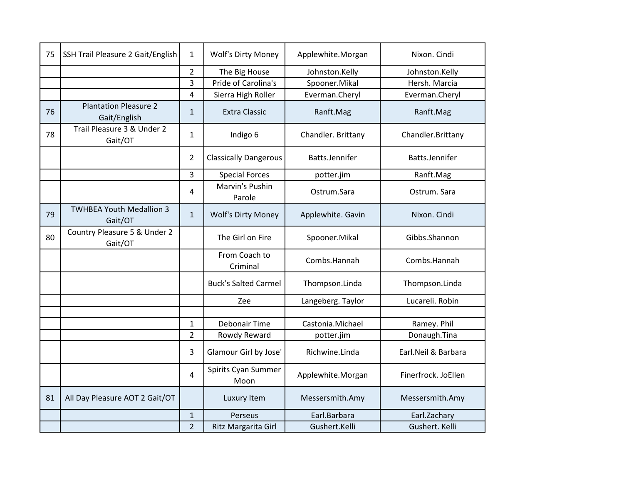| 75 | SSH Trail Pleasure 2 Gait/English            | $\mathbf{1}$   | <b>Wolf's Dirty Money</b>    | Applewhite.Morgan  | Nixon. Cindi        |
|----|----------------------------------------------|----------------|------------------------------|--------------------|---------------------|
|    |                                              | $\overline{2}$ | The Big House                | Johnston.Kelly     | Johnston.Kelly      |
|    |                                              | 3              | Pride of Carolina's          | Spooner.Mikal      | Hersh. Marcia       |
|    |                                              | 4              | Sierra High Roller           | Everman.Cheryl     | Everman.Cheryl      |
| 76 | <b>Plantation Pleasure 2</b><br>Gait/English | $\mathbf{1}$   | <b>Extra Classic</b>         | Ranft.Mag          | Ranft.Mag           |
| 78 | Trail Pleasure 3 & Under 2<br>Gait/OT        | 1              | Indigo 6                     | Chandler. Brittany | Chandler.Brittany   |
|    |                                              | $\overline{2}$ | <b>Classically Dangerous</b> | Batts.Jennifer     | Batts.Jennifer      |
|    |                                              | 3              | <b>Special Forces</b>        | potter.jim         | Ranft.Mag           |
|    |                                              | 4              | Marvin's Pushin<br>Parole    | Ostrum.Sara        | Ostrum. Sara        |
| 79 | <b>TWHBEA Youth Medallion 3</b><br>Gait/OT   | $\mathbf{1}$   | <b>Wolf's Dirty Money</b>    | Applewhite. Gavin  | Nixon. Cindi        |
| 80 | Country Pleasure 5 & Under 2<br>Gait/OT      |                | The Girl on Fire             | Spooner.Mikal      | Gibbs.Shannon       |
|    |                                              |                | From Coach to<br>Criminal    | Combs.Hannah       | Combs.Hannah        |
|    |                                              |                | <b>Buck's Salted Carmel</b>  | Thompson.Linda     | Thompson.Linda      |
|    |                                              |                | Zee                          | Langeberg. Taylor  | Lucareli. Robin     |
|    |                                              |                |                              |                    |                     |
|    |                                              | $\mathbf 1$    | <b>Debonair Time</b>         | Castonia.Michael   | Ramey. Phil         |
|    |                                              | $\overline{2}$ | Rowdy Reward                 | potter.jim         | Donaugh.Tina        |
|    |                                              | 3              | Glamour Girl by Jose'        | Richwine.Linda     | Earl.Neil & Barbara |
|    |                                              | 4              | Spirits Cyan Summer<br>Moon  | Applewhite.Morgan  | Finerfrock. JoEllen |
| 81 | All Day Pleasure AOT 2 Gait/OT               |                | Luxury Item                  | Messersmith.Amy    | Messersmith.Amy     |
|    |                                              | $\mathbf{1}$   | Perseus                      | Earl.Barbara       | Earl.Zachary        |
|    |                                              | $\overline{2}$ | Ritz Margarita Girl          | Gushert.Kelli      | Gushert. Kelli      |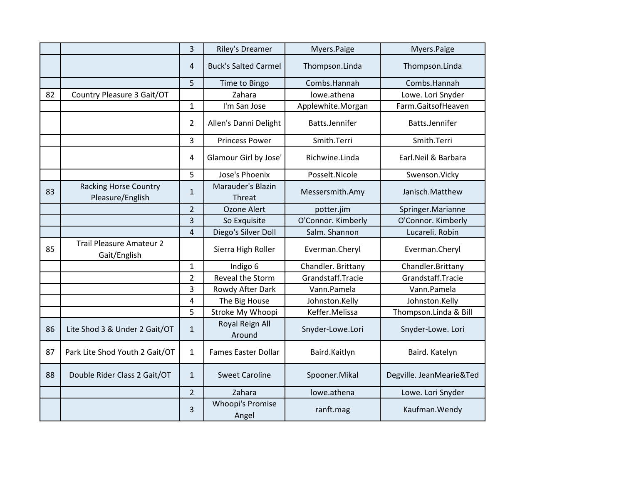|    |                                                  | 3              | <b>Riley's Dreamer</b>           | Myers.Paige        | Myers.Paige              |
|----|--------------------------------------------------|----------------|----------------------------------|--------------------|--------------------------|
|    |                                                  | 4              | <b>Buck's Salted Carmel</b>      | Thompson.Linda     | Thompson.Linda           |
|    |                                                  | 5              | Time to Bingo                    | Combs.Hannah       | Combs.Hannah             |
| 82 | Country Pleasure 3 Gait/OT                       |                | Zahara                           | lowe.athena        | Lowe. Lori Snyder        |
|    |                                                  | $\mathbf{1}$   | I'm San Jose                     | Applewhite.Morgan  | Farm.GaitsofHeaven       |
|    |                                                  | $\overline{2}$ | Allen's Danni Delight            | Batts.Jennifer     | Batts.Jennifer           |
|    |                                                  | 3              | <b>Princess Power</b>            | Smith.Terri        | Smith.Terri              |
|    |                                                  | $\overline{4}$ | Glamour Girl by Jose'            | Richwine.Linda     | Earl.Neil & Barbara      |
|    |                                                  | 5              | Jose's Phoenix                   | Posselt.Nicole     | Swenson.Vicky            |
| 83 | <b>Racking Horse Country</b><br>Pleasure/English | $\mathbf{1}$   | Marauder's Blazin<br>Threat      | Messersmith.Amy    | Janisch.Matthew          |
|    |                                                  | $\overline{2}$ | <b>Ozone Alert</b>               | potter.jim         | Springer.Marianne        |
|    |                                                  | 3              | So Exquisite                     | O'Connor. Kimberly | O'Connor. Kimberly       |
|    |                                                  | $\overline{4}$ | Diego's Silver Doll              | Salm. Shannon      | Lucareli. Robin          |
| 85 | <b>Trail Pleasure Amateur 2</b><br>Gait/English  |                | Sierra High Roller               | Everman.Cheryl     | Everman.Cheryl           |
|    |                                                  | $\mathbf 1$    | Indigo 6                         | Chandler. Brittany | Chandler.Brittany        |
|    |                                                  | $\overline{2}$ | Reveal the Storm                 | Grandstaff.Tracie  | Grandstaff.Tracie        |
|    |                                                  | 3              | Rowdy After Dark                 | Vann.Pamela        | Vann.Pamela              |
|    |                                                  | 4              | The Big House                    | Johnston.Kelly     | Johnston.Kelly           |
|    |                                                  | 5              | Stroke My Whoopi                 | Keffer.Melissa     | Thompson.Linda & Bill    |
| 86 | Lite Shod 3 & Under 2 Gait/OT                    | $\mathbf{1}$   | Royal Reign All<br>Around        | Snyder-Lowe.Lori   | Snyder-Lowe. Lori        |
| 87 | Park Lite Shod Youth 2 Gait/OT                   | $\mathbf{1}$   | <b>Fames Easter Dollar</b>       | Baird.Kaitlyn      | Baird. Katelyn           |
| 88 | Double Rider Class 2 Gait/OT                     | $\mathbf{1}$   | <b>Sweet Caroline</b>            | Spooner.Mikal      | Degville. JeanMearie&Ted |
|    |                                                  | $\overline{2}$ | Zahara                           | lowe.athena        | Lowe. Lori Snyder        |
|    |                                                  | 3              | <b>Whoopi's Promise</b><br>Angel | ranft.mag          | Kaufman. Wendy           |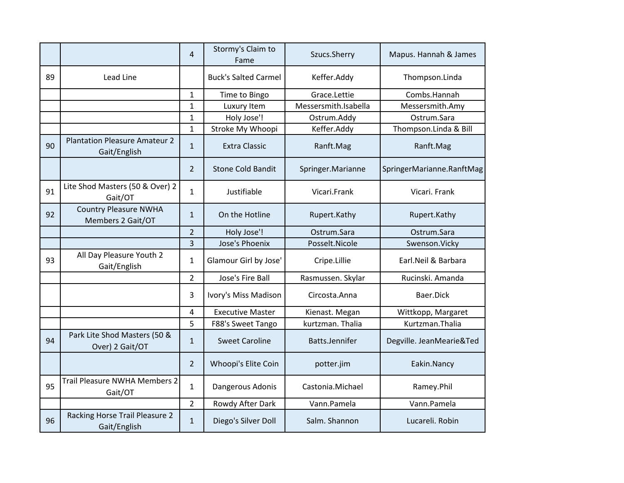|    |                                                      | 4              | Stormy's Claim to<br>Fame   | Szucs.Sherry         | Mapus. Hannah & James     |
|----|------------------------------------------------------|----------------|-----------------------------|----------------------|---------------------------|
| 89 | Lead Line                                            |                | <b>Buck's Salted Carmel</b> | Keffer.Addy          | Thompson.Linda            |
|    |                                                      | $\mathbf{1}$   | Time to Bingo               | Grace.Lettie         | Combs.Hannah              |
|    |                                                      | $\mathbf{1}$   | Luxury Item                 | Messersmith.Isabella | Messersmith.Amy           |
|    |                                                      | $\mathbf{1}$   | Holy Jose'!                 | Ostrum.Addy          | Ostrum.Sara               |
|    |                                                      | $\mathbf{1}$   | Stroke My Whoopi            | Keffer.Addy          | Thompson.Linda & Bill     |
| 90 | <b>Plantation Pleasure Amateur 2</b><br>Gait/English | $\mathbf{1}$   | <b>Extra Classic</b>        | Ranft.Mag            | Ranft.Mag                 |
|    |                                                      | $\overline{2}$ | <b>Stone Cold Bandit</b>    | Springer.Marianne    | SpringerMarianne.RanftMag |
| 91 | Lite Shod Masters (50 & Over) 2<br>Gait/OT           | $\mathbf{1}$   | Justifiable                 | Vicari.Frank         | Vicari. Frank             |
| 92 | <b>Country Pleasure NWHA</b><br>Members 2 Gait/OT    | $\mathbf{1}$   | On the Hotline              | Rupert.Kathy         | Rupert.Kathy              |
|    |                                                      | $\overline{2}$ | Holy Jose'!                 | Ostrum.Sara          | Ostrum.Sara               |
|    |                                                      | $\overline{3}$ | Jose's Phoenix              | Posselt.Nicole       | Swenson.Vicky             |
| 93 | All Day Pleasure Youth 2<br>Gait/English             | $\mathbf{1}$   | Glamour Girl by Jose'       | Cripe.Lillie         | Earl.Neil & Barbara       |
|    |                                                      | $\overline{2}$ | Jose's Fire Ball            | Rasmussen. Skylar    | Rucinski. Amanda          |
|    |                                                      | 3              | Ivory's Miss Madison        | Circosta.Anna        | Baer.Dick                 |
|    |                                                      | 4              | <b>Executive Master</b>     | Kienast. Megan       | Wittkopp, Margaret        |
|    |                                                      | 5              | F88's Sweet Tango           | kurtzman. Thalia     | Kurtzman.Thalia           |
| 94 | Park Lite Shod Masters (50 &<br>Over) 2 Gait/OT      | $\mathbf{1}$   | <b>Sweet Caroline</b>       | Batts.Jennifer       | Degville. JeanMearie&Ted  |
|    |                                                      | $\overline{2}$ | Whoopi's Elite Coin         | potter.jim           | Eakin.Nancy               |
| 95 | Trail Pleasure NWHA Members 2<br>Gait/OT             | $\mathbf{1}$   | Dangerous Adonis            | Castonia.Michael     | Ramey.Phil                |
|    |                                                      | $\overline{2}$ | Rowdy After Dark            | Vann.Pamela          | Vann.Pamela               |
| 96 | Racking Horse Trail Pleasure 2<br>Gait/English       | $\mathbf{1}$   | Diego's Silver Doll         | Salm. Shannon        | Lucareli. Robin           |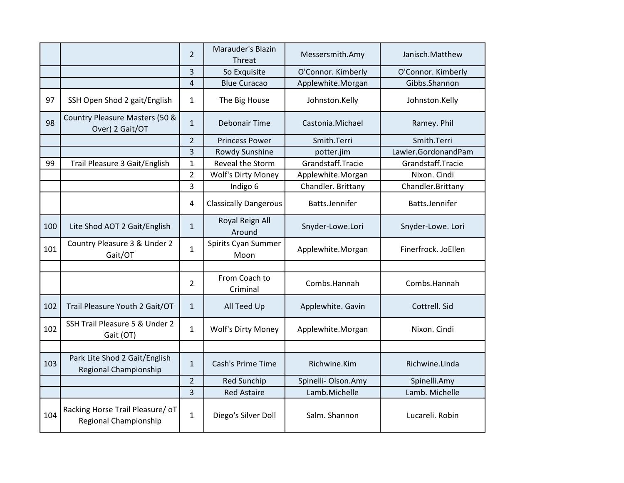|     |                                                           | $\overline{2}$ | <b>Marauder's Blazin</b><br>Threat | Messersmith.Amy     | Janisch.Matthew     |
|-----|-----------------------------------------------------------|----------------|------------------------------------|---------------------|---------------------|
|     |                                                           | 3              | So Exquisite                       | O'Connor. Kimberly  | O'Connor. Kimberly  |
|     |                                                           | 4              | <b>Blue Curacao</b>                | Applewhite.Morgan   | Gibbs.Shannon       |
| 97  | SSH Open Shod 2 gait/English                              | 1              | The Big House                      | Johnston.Kelly      | Johnston.Kelly      |
| 98  | Country Pleasure Masters (50 &<br>Over) 2 Gait/OT         | $\mathbf{1}$   | <b>Debonair Time</b>               | Castonia.Michael    | Ramey. Phil         |
|     |                                                           | $\overline{2}$ | <b>Princess Power</b>              | Smith.Terri         | Smith.Terri         |
|     |                                                           | $\overline{3}$ | Rowdy Sunshine                     | potter.jim          | Lawler.GordonandPam |
| 99  | Trail Pleasure 3 Gait/English                             | $\mathbf{1}$   | Reveal the Storm                   | Grandstaff.Tracie   | Grandstaff.Tracie   |
|     |                                                           | $\overline{2}$ | Wolf's Dirty Money                 | Applewhite.Morgan   | Nixon. Cindi        |
|     |                                                           | 3              | Indigo 6                           | Chandler. Brittany  | Chandler.Brittany   |
|     |                                                           | 4              | <b>Classically Dangerous</b>       | Batts.Jennifer      | Batts.Jennifer      |
| 100 | Lite Shod AOT 2 Gait/English                              | $\mathbf{1}$   | Royal Reign All<br>Around          | Snyder-Lowe.Lori    | Snyder-Lowe. Lori   |
| 101 | Country Pleasure 3 & Under 2<br>Gait/OT                   | $\mathbf{1}$   | Spirits Cyan Summer<br>Moon        | Applewhite.Morgan   | Finerfrock. JoEllen |
|     |                                                           |                |                                    |                     |                     |
|     |                                                           | $\overline{2}$ | From Coach to<br>Criminal          | Combs.Hannah        | Combs.Hannah        |
| 102 | Trail Pleasure Youth 2 Gait/OT                            | $\mathbf{1}$   | All Teed Up                        | Applewhite. Gavin   | Cottrell. Sid       |
| 102 | SSH Trail Pleasure 5 & Under 2<br>Gait (OT)               | 1              | Wolf's Dirty Money                 | Applewhite.Morgan   | Nixon. Cindi        |
|     |                                                           |                |                                    |                     |                     |
| 103 | Park Lite Shod 2 Gait/English<br>Regional Championship    | $\mathbf{1}$   | Cash's Prime Time                  | Richwine.Kim        | Richwine.Linda      |
|     |                                                           | $\overline{2}$ | <b>Red Sunchip</b>                 | Spinelli- Olson.Amy | Spinelli.Amy        |
|     |                                                           | $\overline{3}$ | <b>Red Astaire</b>                 | Lamb.Michelle       | Lamb. Michelle      |
| 104 | Racking Horse Trail Pleasure/ oT<br>Regional Championship | $\mathbf{1}$   | Diego's Silver Doll                | Salm. Shannon       | Lucareli. Robin     |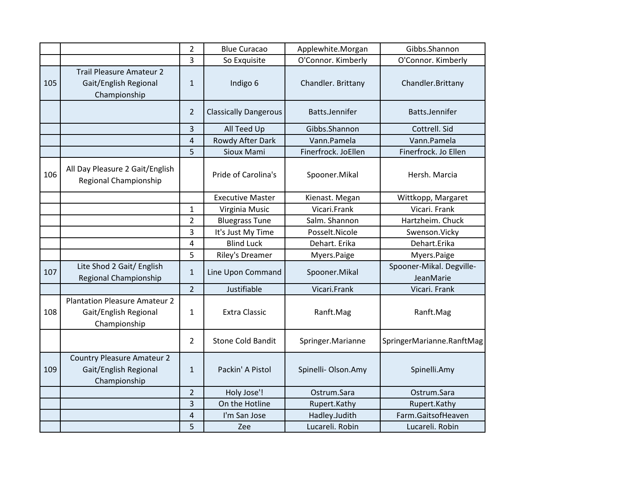|     |                                                                               | $\overline{2}$ | <b>Blue Curacao</b>          | Applewhite.Morgan   | Gibbs.Shannon                         |
|-----|-------------------------------------------------------------------------------|----------------|------------------------------|---------------------|---------------------------------------|
|     |                                                                               | 3              | So Exquisite                 | O'Connor. Kimberly  | O'Connor. Kimberly                    |
| 105 | <b>Trail Pleasure Amateur 2</b><br>Gait/English Regional<br>Championship      | $\mathbf{1}$   | Indigo 6                     | Chandler. Brittany  | Chandler.Brittany                     |
|     |                                                                               | $\overline{2}$ | <b>Classically Dangerous</b> | Batts.Jennifer      | Batts.Jennifer                        |
|     |                                                                               | 3              | All Teed Up                  | Gibbs.Shannon       | Cottrell. Sid                         |
|     |                                                                               | 4              | Rowdy After Dark             | Vann.Pamela         | Vann.Pamela                           |
|     |                                                                               | 5              | Sioux Mami                   | Finerfrock. JoEllen | Finerfrock. Jo Ellen                  |
| 106 | All Day Pleasure 2 Gait/English<br>Regional Championship                      |                | Pride of Carolina's          | Spooner.Mikal       | Hersh. Marcia                         |
|     |                                                                               |                | <b>Executive Master</b>      | Kienast. Megan      | Wittkopp, Margaret                    |
|     |                                                                               | $\mathbf 1$    | Virginia Music               | Vicari.Frank        | Vicari. Frank                         |
|     |                                                                               | $\overline{2}$ | <b>Bluegrass Tune</b>        | Salm. Shannon       | Hartzheim. Chuck                      |
|     |                                                                               | 3              | It's Just My Time            | Posselt.Nicole      | Swenson.Vicky                         |
|     |                                                                               | 4              | <b>Blind Luck</b>            | Dehart. Erika       | Dehart.Erika                          |
|     |                                                                               | 5              | Riley's Dreamer              | Myers.Paige         | Myers.Paige                           |
| 107 | Lite Shod 2 Gait/ English<br>Regional Championship                            | 1              | Line Upon Command            | Spooner.Mikal       | Spooner-Mikal. Degville-<br>JeanMarie |
|     |                                                                               | $\overline{2}$ | Justifiable                  | Vicari.Frank        | Vicari. Frank                         |
| 108 | <b>Plantation Pleasure Amateur 2</b><br>Gait/English Regional<br>Championship | 1              | <b>Extra Classic</b>         | Ranft.Mag           | Ranft.Mag                             |
|     |                                                                               | $\overline{2}$ | <b>Stone Cold Bandit</b>     | Springer.Marianne   | SpringerMarianne.RanftMag             |
| 109 | <b>Country Pleasure Amateur 2</b><br>Gait/English Regional<br>Championship    | $\mathbf{1}$   | Packin' A Pistol             | Spinelli-Olson.Amy  | Spinelli.Amy                          |
|     |                                                                               | $\overline{2}$ | Holy Jose'!                  | Ostrum.Sara         | Ostrum.Sara                           |
|     |                                                                               | 3              | On the Hotline               | Rupert.Kathy        | Rupert.Kathy                          |
|     |                                                                               | 4              | I'm San Jose                 | Hadley.Judith       | Farm.GaitsofHeaven                    |
|     |                                                                               | 5              | Zee                          | Lucareli. Robin     | Lucareli. Robin                       |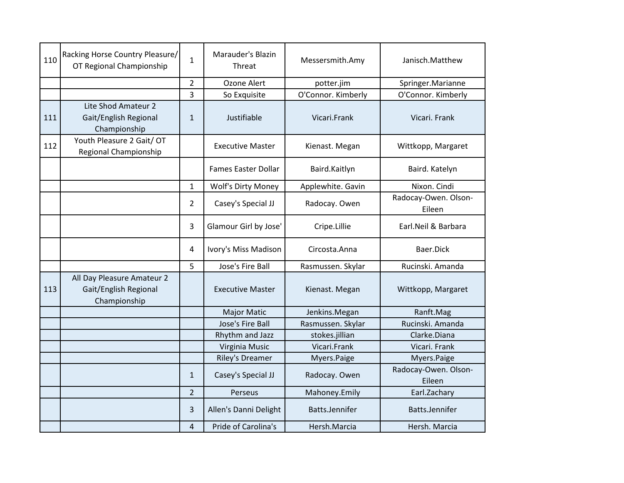| 110 | Racking Horse Country Pleasure/<br>OT Regional Championship         | $\mathbf{1}$   | Marauder's Blazin<br>Threat | Messersmith.Amy    | Janisch.Matthew                |
|-----|---------------------------------------------------------------------|----------------|-----------------------------|--------------------|--------------------------------|
|     |                                                                     | $\overline{2}$ | Ozone Alert                 | potter.jim         | Springer.Marianne              |
|     |                                                                     | 3              | So Exquisite                | O'Connor. Kimberly | O'Connor. Kimberly             |
| 111 | Lite Shod Amateur 2<br>Gait/English Regional<br>Championship        | $\mathbf{1}$   | Justifiable                 | Vicari.Frank       | Vicari. Frank                  |
| 112 | Youth Pleasure 2 Gait/ OT<br>Regional Championship                  |                | <b>Executive Master</b>     | Kienast. Megan     | Wittkopp, Margaret             |
|     |                                                                     |                | <b>Fames Easter Dollar</b>  | Baird.Kaitlyn      | Baird. Katelyn                 |
|     |                                                                     | $\mathbf{1}$   | <b>Wolf's Dirty Money</b>   | Applewhite. Gavin  | Nixon. Cindi                   |
|     |                                                                     | $\overline{2}$ | Casey's Special JJ          | Radocay. Owen      | Radocay-Owen. Olson-<br>Eileen |
|     |                                                                     | 3              | Glamour Girl by Jose'       | Cripe.Lillie       | Earl.Neil & Barbara            |
|     |                                                                     | $\overline{4}$ | Ivory's Miss Madison        | Circosta.Anna      | Baer.Dick                      |
|     |                                                                     | 5              | Jose's Fire Ball            | Rasmussen. Skylar  | Rucinski. Amanda               |
| 113 | All Day Pleasure Amateur 2<br>Gait/English Regional<br>Championship |                | <b>Executive Master</b>     | Kienast. Megan     | Wittkopp, Margaret             |
|     |                                                                     |                | <b>Major Matic</b>          | Jenkins.Megan      | Ranft.Mag                      |
|     |                                                                     |                | Jose's Fire Ball            | Rasmussen. Skylar  | Rucinski, Amanda               |
|     |                                                                     |                | Rhythm and Jazz             | stokes.jillian     | Clarke.Diana                   |
|     |                                                                     |                | Virginia Music              | Vicari.Frank       | Vicari. Frank                  |
|     |                                                                     |                | <b>Riley's Dreamer</b>      | Myers.Paige        | Myers.Paige                    |
|     |                                                                     | $\mathbf{1}$   | Casey's Special JJ          | Radocay. Owen      | Radocay-Owen. Olson-<br>Eileen |
|     |                                                                     | $\overline{2}$ | Perseus                     | Mahoney.Emily      | Earl.Zachary                   |
|     |                                                                     | 3              | Allen's Danni Delight       | Batts.Jennifer     | Batts.Jennifer                 |
|     |                                                                     | 4              | Pride of Carolina's         | Hersh.Marcia       | Hersh. Marcia                  |